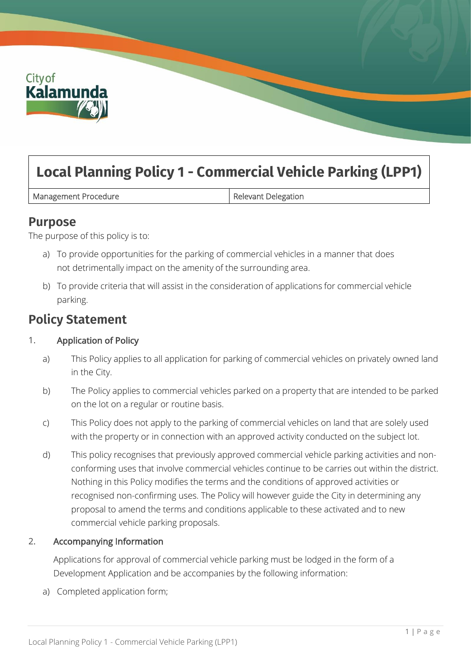

# **Local Planning Policy 1 - Commercial Vehicle Parking (LPP1)**

Management Procedure **Relevant Delegation** 

### **Purpose**

The purpose of this policy is to:

- a) To provide opportunities for the parking of commercial vehicles in a manner that does not detrimentally impact on the amenity of the surrounding area.
- b) To provide criteria that will assist in the consideration of applications for commercial vehicle parking.

## **Policy Statement**

#### 1. Application of Policy

- a) This Policy applies to all application for parking of commercial vehicles on privately owned land in the City.
- b) The Policy applies to commercial vehicles parked on a property that are intended to be parked on the lot on a regular or routine basis.
- c) This Policy does not apply to the parking of commercial vehicles on land that are solely used with the property or in connection with an approved activity conducted on the subject lot.
- d) This policy recognises that previously approved commercial vehicle parking activities and nonconforming uses that involve commercial vehicles continue to be carries out within the district. Nothing in this Policy modifies the terms and the conditions of approved activities or recognised non-confirming uses. The Policy will however guide the City in determining any proposal to amend the terms and conditions applicable to these activated and to new commercial vehicle parking proposals.

#### 2. Accompanying Information

Applications for approval of commercial vehicle parking must be lodged in the form of a Development Application and be accompanies by the following information:

a) Completed application form;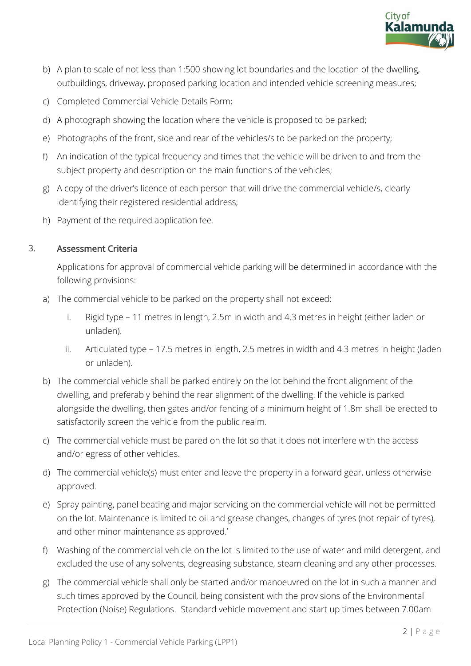

- b) A plan to scale of not less than 1:500 showing lot boundaries and the location of the dwelling, outbuildings, driveway, proposed parking location and intended vehicle screening measures;
- c) Completed Commercial Vehicle Details Form;
- d) A photograph showing the location where the vehicle is proposed to be parked;
- e) Photographs of the front, side and rear of the vehicles/s to be parked on the property;
- f) An indication of the typical frequency and times that the vehicle will be driven to and from the subject property and description on the main functions of the vehicles;
- g) A copy of the driver's licence of each person that will drive the commercial vehicle/s, clearly identifying their registered residential address;
- h) Payment of the required application fee.

#### 3. Assessment Criteria

Applications for approval of commercial vehicle parking will be determined in accordance with the following provisions:

- a) The commercial vehicle to be parked on the property shall not exceed:
	- i. Rigid type 11 metres in length, 2.5m in width and 4.3 metres in height (either laden or unladen).
	- ii. Articulated type 17.5 metres in length, 2.5 metres in width and 4.3 metres in height (laden or unladen).
- b) The commercial vehicle shall be parked entirely on the lot behind the front alignment of the dwelling, and preferably behind the rear alignment of the dwelling. If the vehicle is parked alongside the dwelling, then gates and/or fencing of a minimum height of 1.8m shall be erected to satisfactorily screen the vehicle from the public realm.
- c) The commercial vehicle must be pared on the lot so that it does not interfere with the access and/or egress of other vehicles.
- d) The commercial vehicle(s) must enter and leave the property in a forward gear, unless otherwise approved.
- e) Spray painting, panel beating and major servicing on the commercial vehicle will not be permitted on the lot. Maintenance is limited to oil and grease changes, changes of tyres (not repair of tyres), and other minor maintenance as approved.'
- f) Washing of the commercial vehicle on the lot is limited to the use of water and mild detergent, and excluded the use of any solvents, degreasing substance, steam cleaning and any other processes.
- g) The commercial vehicle shall only be started and/or manoeuvred on the lot in such a manner and such times approved by the Council, being consistent with the provisions of the Environmental Protection (Noise) Regulations. Standard vehicle movement and start up times between 7.00am